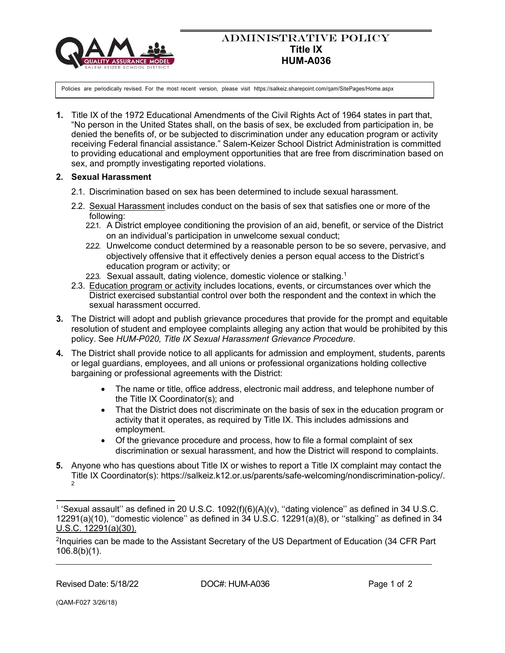

## ADMINISTRATIVE POLICY **Title IX HUM-A036**

u Policies are periodically revised. For the most recent version, please visit https://salkeiz.sharepoint.com/qam/SitePages/Home.aspx

**1.** Title IX of the 1972 Educational Amendments of the Civil Rights Act of 1964 states in part that, "No person in the United States shall, on the basis of sex, be excluded from participation in, be denied the benefits of, or be subjected to discrimination under any education program or activity receiving Federal financial assistance." Salem-Keizer School District Administration is committed to providing educational and employment opportunities that are free from discrimination based on sex, and promptly investigating reported violations.

## **2. Sexual Harassment**

- 2.1. Discrimination based on sex has been determined to include sexual harassment.
- 2.2. Sexual Harassment includes conduct on the basis of sex that satisfies one or more of the following:
	- 2.2.1. A District employee conditioning the provision of an aid, benefit, or service of the District on an individual's participation in unwelcome sexual conduct;
	- 222. Unwelcome conduct determined by a reasonable person to be so severe, pervasive, and objectively offensive that it effectively denies a person equal access to the District's education program or activity; or
	- 22.3. Sexual assault, dating violence, domestic violence or stalking.<sup>1</sup>
- 2.3. Education program or activity includes locations, events, or circumstances over which the District exercised substantial control over both the respondent and the context in which the sexual harassment occurred.
- **3.** The District will adopt and publish grievance procedures that provide for the prompt and equitable resolution of student and employee complaints alleging any action that would be prohibited by this policy. See *HUM-P020, Title IX Sexual Harassment Grievance Procedure.*
- **4.** The District shall provide notice to all applicants for admission and employment, students, parents or legal guardians, employees, and all unions or professional organizations holding collective bargaining or professional agreements with the District:
	- The name or title, office address, electronic mail address, and telephone number of the Title IX Coordinator(s); and
	- That the District does not discriminate on the basis of sex in the education program or activity that it operates, as required by Title IX. This includes admissions and employment.
	- Of the grievance procedure and process, how to file a formal complaint of sex discrimination or sexual harassment, and how the District will respond to complaints.
- **5.** Anyone who has questions about Title IX or wishes to report a Title IX complaint may contact the Title IX Coordinator(s): https://salkeiz.k12.or.us/parents/safe-welcoming/nondiscrimination-policy/.  $\mathfrak{p}$

 $1$  'Sexual assault'' as defined in 20 U.S.C. 1092(f)(6)(A)(v), "dating violence" as defined in 34 U.S.C. 12291(a)(10), ''domestic violence'' as defined in 34 U.S.C. 12291(a)(8), or ''stalking'' as defined in 34 U.S.C. 12291(a)(30).

<sup>&</sup>lt;sup>2</sup>Inquiries can be made to the Assistant Secretary of the US Department of Education (34 CFR Part 106.8(b)(1).